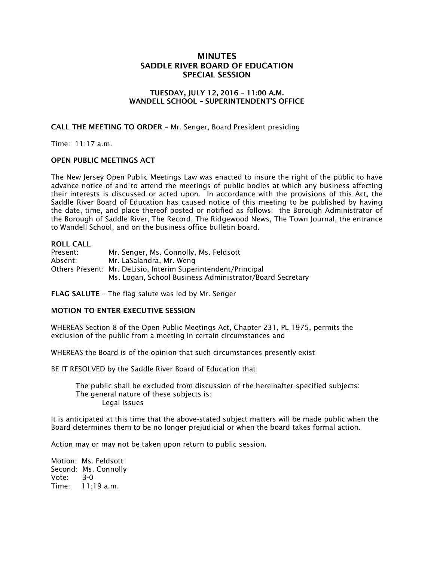# **MINUTES SADDLE RIVER BOARD OF EDUCATION SPECIAL SESSION**

### **TUESDAY, JULY 12, 2016 – 11:00 A.M. WANDELL SCHOOL – SUPERINTENDENT'S OFFICE**

## **CALL THE MEETING TO ORDER** – Mr. Senger, Board President presiding

Time: 11:17 a.m.

#### **OPEN PUBLIC MEETINGS ACT**

The New Jersey Open Public Meetings Law was enacted to insure the right of the public to have advance notice of and to attend the meetings of public bodies at which any business affecting their interests is discussed or acted upon. In accordance with the provisions of this Act, the Saddle River Board of Education has caused notice of this meeting to be published by having the date, time, and place thereof posted or notified as follows: the Borough Administrator of the Borough of Saddle River, The Record, The Ridgewood News, The Town Journal, the entrance to Wandell School, and on the business office bulletin board.

#### **ROLL CALL**

Present: Mr. Senger, Ms. Connolly, Ms. Feldsott Absent: Mr. LaSalandra, Mr. Weng Others Present: Mr. DeLisio, Interim Superintendent/Principal Ms. Logan, School Business Administrator/Board Secretary

**FLAG SALUTE –** The flag salute was led by Mr. Senger

#### **MOTION TO ENTER EXECUTIVE SESSION**

WHEREAS Section 8 of the Open Public Meetings Act, Chapter 231, PL 1975, permits the exclusion of the public from a meeting in certain circumstances and

WHEREAS the Board is of the opinion that such circumstances presently exist

BE IT RESOLVED by the Saddle River Board of Education that:

 The public shall be excluded from discussion of the hereinafter-specified subjects: The general nature of these subjects is: Legal Issues

It is anticipated at this time that the above-stated subject matters will be made public when the Board determines them to be no longer prejudicial or when the board takes formal action.

Action may or may not be taken upon return to public session.

Motion: Ms. Feldsott Second: Ms. Connolly Vote: 3-0 Time: 11:19 a.m.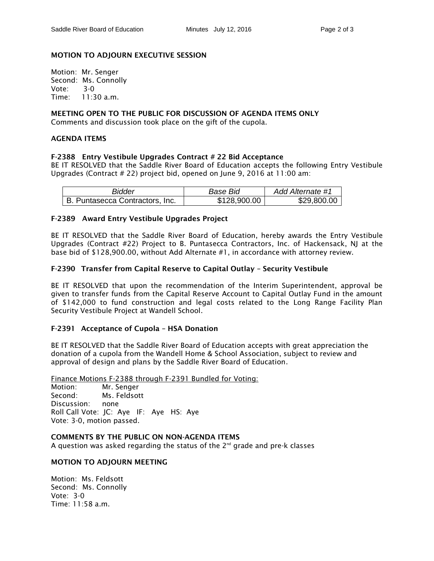# **MOTION TO ADJOURN EXECUTIVE SESSION**

Motion: Mr. Senger Second: Ms. Connolly Vote: 3-0 Time: 11:30 a.m.

## **MEETING OPEN TO THE PUBLIC FOR DISCUSSION OF AGENDA ITEMS ONLY**

Comments and discussion took place on the gift of the cupola.

## **AGENDA ITEMS**

## **F-2388 Entry Vestibule Upgrades Contract # 22 Bid Acceptance**

BE IT RESOLVED that the Saddle River Board of Education accepts the following Entry Vestibule Upgrades (Contract # 22) project bid, opened on June 9, 2016 at 11:00 am:

| Bidder                          | Base Bid     | Add Alternate #1 |
|---------------------------------|--------------|------------------|
| B. Puntasecca Contractors, Inc. | \$128,900.00 | \$29,800.00      |

## **F-2389 Award Entry Vestibule Upgrades Project**

BE IT RESOLVED that the Saddle River Board of Education, hereby awards the Entry Vestibule Upgrades (Contract #22) Project to B. Puntasecca Contractors, Inc. of Hackensack, NJ at the base bid of \$128,900.00, without Add Alternate #1, in accordance with attorney review.

## **F-2390 Transfer from Capital Reserve to Capital Outlay – Security Vestibule**

BE IT RESOLVED that upon the recommendation of the Interim Superintendent, approval be given to transfer funds from the Capital Reserve Account to Capital Outlay Fund in the amount of \$142,000 to fund construction and legal costs related to the Long Range Facility Plan Security Vestibule Project at Wandell School.

# **F-2391 Acceptance of Cupola – HSA Donation**

BE IT RESOLVED that the Saddle River Board of Education accepts with great appreciation the donation of a cupola from the Wandell Home & School Association, subject to review and approval of design and plans by the Saddle River Board of Education.

Finance Motions F-2388 through F-2391 Bundled for Voting: Motion: Mr. Senger Second: Ms. Feldsott Discussion: none Roll Call Vote: JC: Aye IF: Aye HS: Aye Vote: 3-0, motion passed.

**COMMENTS BY THE PUBLIC ON NON-AGENDA ITEMS** A question was asked regarding the status of the 2 $^{\rm nd}$  grade and pre-k classes

#### **MOTION TO ADJOURN MEETING**

Motion: Ms. Feldsott Second: Ms. Connolly Vote: 3-0 Time:  $11:58$  a.m.